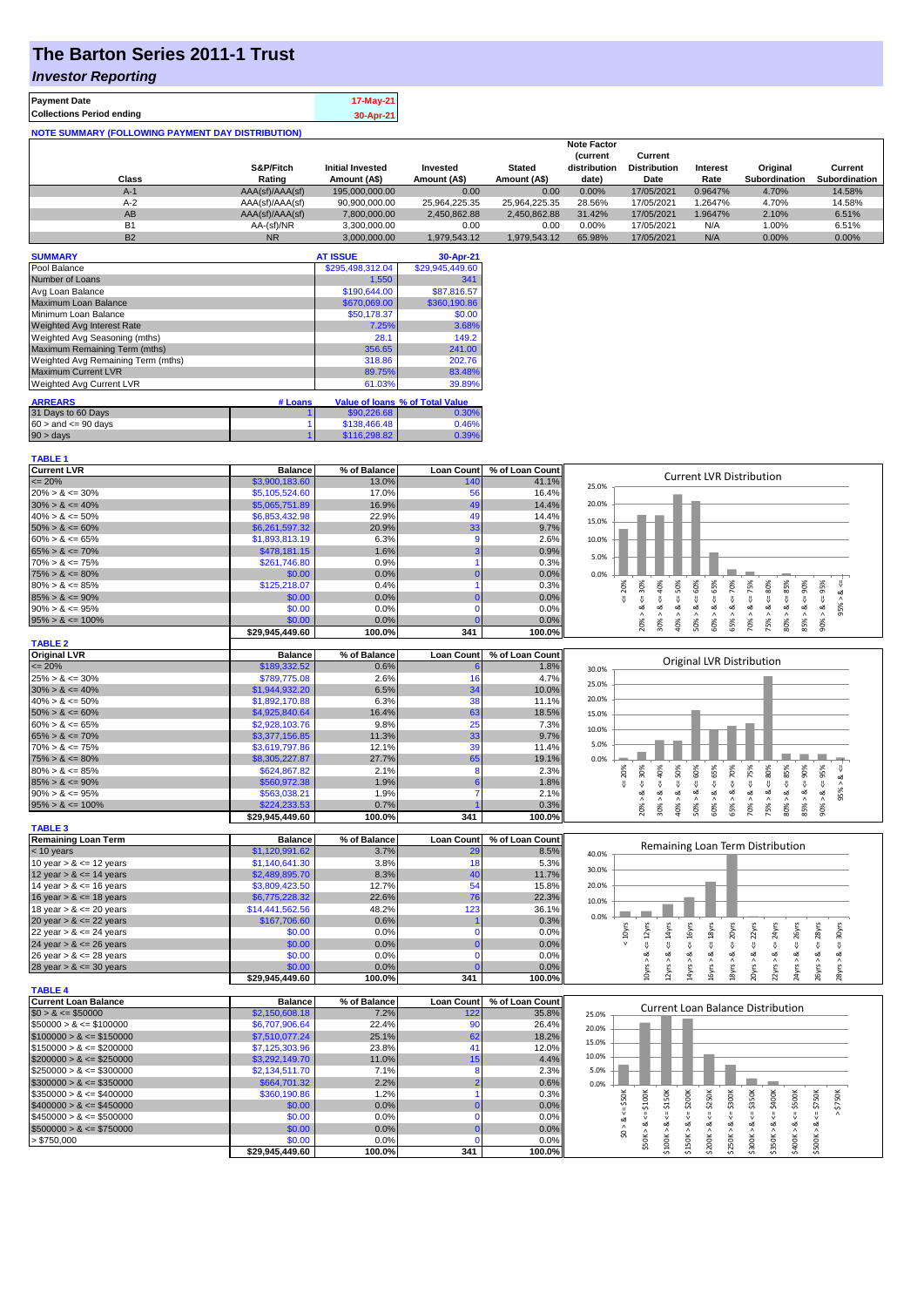# **The Barton Series 2011-1 Trust**

#### *Investor Reporting*

| <b>Payment Date</b>                                      | 17-May-21 |
|----------------------------------------------------------|-----------|
| <b>Collections Period ending</b>                         | 30-Apr-21 |
| <b>NOTE SUMMARY (FOLLOWING PAYMENT DAY DISTRIBUTION)</b> |           |

|           |                 |                         |               |               | <b>Note Factor</b> |                     |                 |                      |               |
|-----------|-----------------|-------------------------|---------------|---------------|--------------------|---------------------|-----------------|----------------------|---------------|
|           |                 |                         |               |               | <b>Current</b>     | Current             |                 |                      |               |
|           | S&P/Fitch       | <b>Initial Invested</b> | Invested      | <b>Stated</b> | distribution       | <b>Distribution</b> | <b>Interest</b> | Original             | Current       |
| Class     | Rating          | Amount (A\$)            | Amount (A\$)  | Amount (A\$)  | date)              | Date                | Rate            | <b>Subordination</b> | Subordination |
| $A-1$     | AAA(sf)/AAA(sf) | 195,000,000,00          | 0.00          | 0.00          | 0.00%              | 17/05/2021          | 0.9647%         | 4.70%                | 14.58%        |
| $A-2$     | AAA(sf)/AAA(sf) | 90,900,000.00           | 25.964.225.35 | 25.964.225.35 | 28.56%             | 17/05/2021          | .2647%          | 4.70%                | 14.58%        |
| AB        | AAA(sf)/AAA(sf) | 7.800.000.00            | 2.450.862.88  | 2.450.862.88  | 31.42%             | 17/05/2021          | 1.9647%         | 2.10%                | 6.51%         |
| <b>B1</b> | AA-(sf)/NR      | 3.300.000.00            | 0.00          | 0.00          | 0.00%              | 17/05/2021          | N/A             | 1.00%                | 6.51%         |
| <b>B2</b> | <b>NR</b>       | 3.000.000.00            | 1.979.543.12  | 1.979.543.12  | 65.98%             | 17/05/2021          | N/A             | 0.00%                | 0.00%         |

| <b>SUMMARY</b>                     |         | <b>AT ISSUE</b>  | 30-Apr-21                       |
|------------------------------------|---------|------------------|---------------------------------|
| Pool Balance                       |         | \$295,498,312.04 | \$29,945,449.60                 |
| Number of Loans                    |         | 1.550            | 341                             |
| Avg Loan Balance                   |         | \$190,644.00     | \$87,816.57                     |
| Maximum Loan Balance               |         | \$670,069.00     | \$360,190.86                    |
| Minimum Loan Balance               |         | \$50,178.37      | \$0.00                          |
| <b>Weighted Avg Interest Rate</b>  |         | 7.25%            | 3.68%                           |
| Weighted Avg Seasoning (mths)      |         | 28.1             | 149.2                           |
| Maximum Remaining Term (mths)      |         | 356.65           | 241.00                          |
| Weighted Avg Remaining Term (mths) |         | 318.86           | 202.76                          |
| <b>Maximum Current LVR</b>         |         | 89.75%           | 83.48%                          |
| <b>Weighted Avg Current LVR</b>    |         | 61.03%           | 39.89%                          |
| <b>ARREARS</b>                     | # Loans |                  | Value of Ioans % of Total Value |
| 31 Days to 60 Days                 |         | \$90,226.68      | 0.30%                           |
| $60 >$ and $\leq 90$ days          |         | \$138,466.48     | 0.46%                           |
|                                    |         |                  |                                 |
| $90 > \text{days}$                 |         | \$116,298.82     | 0.39%                           |

| <b>TABLE 1</b>              |                 |              |                   |                 |                                                                                                                                                                                       |
|-----------------------------|-----------------|--------------|-------------------|-----------------|---------------------------------------------------------------------------------------------------------------------------------------------------------------------------------------|
| <b>Current LVR</b>          | <b>Balance</b>  | % of Balance | <b>Loan Count</b> | % of Loan Count |                                                                                                                                                                                       |
| $= 20%$                     | \$3,900,183.60  | 13.0%        | 140               | 41.1%           | <b>Current LVR Distribution</b><br>25.0%                                                                                                                                              |
| $20\% > 8 \le 30\%$         | \$5,105,524.60  | 17.0%        | 56                | 16.4%           |                                                                                                                                                                                       |
| $30\% > 8 \le 40\%$         | \$5,065,751.89  | 16.9%        | 49                | 14.4%           | 20.0%                                                                                                                                                                                 |
| $40\% > 8 \le 50\%$         | \$6,853,432.98  | 22.9%        | 49                | 14.4%           | 15.0%                                                                                                                                                                                 |
| $50\% > 8 \le 60\%$         | \$6,261,597.32  | 20.9%        | 33                | 9.7%            |                                                                                                                                                                                       |
| $60\% > 8 \le 65\%$         | \$1,893,813.19  | 6.3%         | 9                 | 2.6%            | 10.0%                                                                                                                                                                                 |
| $65\% > 8 \le 70\%$         | \$478,181.15    | 1.6%         | 3                 | 0.9%            |                                                                                                                                                                                       |
| $70\% > 8 \le 75\%$         | \$261,746.80    | 0.9%         |                   | 0.3%            | 5.0%                                                                                                                                                                                  |
| $75\% > 8 \le 80\%$         | \$0.00          | 0.0%         | $\Omega$          | 0.0%            | 0.0%                                                                                                                                                                                  |
| $80\% > 8 \le 85\%$         | \$125,218.07    | 0.4%         |                   | 0.3%            | $4 = 50\%$<br>$4 = 60\%$<br>$4 = 65\%$<br>70%<br>$4 - 40\%$<br>$4 = 95\%$<br>$4 = 30\%$<br>$\leq 80\%$<br>20%                                                                         |
| $85\% > 8 \le 90\%$         | \$0.00          | 0.0%         | $\Omega$          | 0.0%            | $8 - 75%$<br>œ<br>V                                                                                                                                                                   |
| $90\% > 8 \le 95\%$         | \$0.00          | 0.0%         | $\Omega$          | 0.0%            | 95%<br>ઌ<br>ä<br>ø<br>ઌ<br>ઌ<br>∞<br>ಹ                                                                                                                                                |
| $95\% > 8 \le 100\%$        | \$0.00          | 0.0%         |                   | 0.0%            | $80\% > 8.4 = 85\%$<br>$85\% > 8 \leq 90\%$<br>$90\% > 8.$<br>30% > 1<br>40% > i<br>50% > 8<br>60% > 3<br>70% > 1<br>75% > i<br>$\wedge$<br>20%<br>65%                                |
|                             | \$29,945,449.60 | 100.0%       | 341               | 100.0%          |                                                                                                                                                                                       |
| <b>TABLE 2</b>              |                 |              |                   |                 |                                                                                                                                                                                       |
| <b>Original LVR</b>         | <b>Balance</b>  | % of Balance | <b>Loan Count</b> | % of Loan Count | Original LVR Distribution                                                                                                                                                             |
| $= 20%$                     | \$189,332.52    | 0.6%         |                   | 1.8%            | 30.0%                                                                                                                                                                                 |
| $25\% > 8 \le 30\%$         | \$789,775.08    | 2.6%         | 16                | 4.7%            | 25.0%                                                                                                                                                                                 |
| $30\% > 8 \le 40\%$         | \$1,944,932.20  | 6.5%         | 34                | 10.0%           |                                                                                                                                                                                       |
| $40\% > 8 \le 50\%$         | \$1,892,170.88  | 6.3%         | 38                | 11.1%           | 20.0%                                                                                                                                                                                 |
| $50\% > 8 \le 60\%$         | \$4,925,840.64  | 16.4%        | 63                | 18.5%           | 15.0%                                                                                                                                                                                 |
| $60\% > 8 \le 65\%$         | \$2,928,103.76  | 9.8%         | 25                | 7.3%            | 10.0%                                                                                                                                                                                 |
| $65\% > 8 \le 70\%$         | \$3,377,156.85  | 11.3%        | 33                | 9.7%            |                                                                                                                                                                                       |
| $70\% > 8 \le 75\%$         | \$3,619,797.86  | 12.1%        | 39                | 11.4%           | 5.0%                                                                                                                                                                                  |
| $75\% > 8 \le 80\%$         | \$8,305,227.87  | 27.7%        | 65                | 19.1%           | 0.0%                                                                                                                                                                                  |
| $80\% > 8 \le 85\%$         | \$624,867.82    | 2.1%         | 8                 | 2.3%            | $8 - 50%$<br>8 < 60%<br>$<=65\%$<br>70%<br>75%<br>$<=80\%$<br>$8 - 90%$<br>95%<br>40%<br>30%<br>20%<br>₩                                                                              |
| $85\% > 8 \le 90\%$         | \$560,972.38    | 1.9%         | 6                 | 1.8%            | ∞<br>8 < 1<br>8 < 1<br>$\overline{v}$<br>$<=$<br>v                                                                                                                                    |
| $90\% > 8 \le 95\%$         | \$563,038.21    | 1.9%         |                   | 2.1%            | 95% ><br>જ<br>œ                                                                                                                                                                       |
| $95\% > 8 \le 100\%$        | \$224,233.53    | 0.7%         |                   | 0.3%            | $80\% > 8 <= 85\%$<br>$30\%$ $>$<br>$50\%$ ><br>$60\%$ $>$<br>75% ><br>85% ><br>$40\%$ $>$<br>65% ><br>$70\%$ $>$<br>$90\%$<br>20%                                                    |
|                             | \$29,945,449.60 | 100.0%       | 341               | 100.0%          |                                                                                                                                                                                       |
| <b>TABLE 3</b>              |                 |              |                   |                 |                                                                                                                                                                                       |
| <b>Remaining Loan Term</b>  | <b>Balance</b>  | % of Balance | <b>Loan Count</b> | % of Loan Count | Remaining Loan Term Distribution                                                                                                                                                      |
| < 10 years                  | \$1,120,991.62  | 3.7%         | 29                | 8.5%            | 40.0%                                                                                                                                                                                 |
| 10 year $> 8 \le 12$ years  | \$1,140,641.30  | 3.8%         | 18                | 5.3%            | 30.0%                                                                                                                                                                                 |
| 12 year $> 8 \le 14$ years  | \$2,489,895.70  | 8.3%         | 40                | 11.7%           |                                                                                                                                                                                       |
| 14 year $> 8 \le 16$ years  | \$3,809,423.50  | 12.7%        | 54                | 15.8%           | 20.0%                                                                                                                                                                                 |
| 16 year $> 8 \le 18$ years  | \$6,775,228.32  | 22.6%        | 76                | 22.3%           | 10.0%                                                                                                                                                                                 |
| 18 year $> 8 \le 20$ years  | \$14,441,562.56 | 48.2%        | 123               | 36.1%           | 0.0%                                                                                                                                                                                  |
| 20 year $> 8 \le 22$ years  | \$167,706.60    | 0.6%         |                   | 0.3%            |                                                                                                                                                                                       |
| 22 year $> 8 \le 24$ years  | \$0.00          | 0.0%         | $\mathbf{0}$      | 0.0%            | $\leq$ 18 $yrs$<br>20yrs<br>$\leq$ $22$ yrs<br>$< 10Y$ rs<br>$\leq$ 14 $\gamma$ rs<br>16yrs<br>$\leq$ = 24yrs<br>$\leq$ 26yrs<br>28yrs<br>$4 = 30$ yrs<br>$\epsilon$ = 12 $\gamma$ rs |
| 24 year $> 8 \le 26$ years  | \$0.00          | 0.0%         |                   | 0.0%            | IJ,<br>V<br>IJ,                                                                                                                                                                       |
| 26 year $> 8 \le 28$ years  | \$0.00          | 0.0%         | $\Omega$          | 0.0%            | ಷ<br>ಷ<br>œ                                                                                                                                                                           |
| 28 year $> 8 \le 30$ years  | \$0.00          | 0.0%         |                   | 0.0%            | 20yrs > 8<br>22yrs > 8<br>24yrs > 8<br>10yrs > 8<br>14yrs > 8<br>18yrs > 8<br>26yrs > 8<br>12yrs > i<br>16yrs > 8<br>28yrs > 8                                                        |
|                             | \$29,945,449.60 | 100.0%       | 341               | 100.0%          |                                                                                                                                                                                       |
| <b>TABLE 4</b>              |                 |              |                   |                 |                                                                                                                                                                                       |
| <b>Current Loan Balance</b> | <b>Balance</b>  | % of Balance | <b>Loan Count</b> | % of Loan Count | <b>Current Loan Balance Distribution</b>                                                                                                                                              |
| $$0 > 8 \leq $50000$        | \$2,150,608.18  | 7.2%         | 122               | 35.8%           | 25.0%                                                                                                                                                                                 |
| $$50000 > 8 \le $100000$    | \$6,707,906.64  | 22.4%        | 90                | 26.4%           | 20.0%                                                                                                                                                                                 |
| $$100000 > 8 \leq $150000$  | \$7,510,077.24  | 25.1%        | 62                | 18.2%           | 15.0%                                                                                                                                                                                 |
| $$150000 > 8 \leq $200000$  | \$7,125,303.96  | 23.8%        | 41                | 12.0%           | 10.0%                                                                                                                                                                                 |
| $$200000 > 8 \leq $250000$  | \$3,292,149.70  | 11.0%        | 15                | 4.4%            |                                                                                                                                                                                       |
| $$250000 > 8 \leq $300000$  | \$2,134,511.70  | 7.1%         | 8                 | 2.3%            | 5.0%                                                                                                                                                                                  |
| $$300000 > 8 \leq $350000$  | \$664,701.32    | 2.2%         | 2                 | 0.6%            | 0.0%                                                                                                                                                                                  |
| $$350000 > 8 \leq $400000$  | \$360,190.86    | 1.2%         | $\overline{1}$    | 0.3%            | $$250K > 8 \Leftarrow $300K$<br>$4 = $350K$<br>$\leq$ \$150K<br>\$200K<br>\$250K<br>$\leq$ \$400K<br>\$750K<br>$4 = $50K$<br>$$50K > 8 <= $100K$<br>$\leq$ \$500K<br>$4 = $750K$      |
| $$400000 > 8 \le $450000$   | \$0.00          | 0.0%         | n                 | 0.0%            |                                                                                                                                                                                       |
| $$450000 > 8 \le $500000$   | \$0.00          | 0.0%         | $\Omega$          | 0.0%            | $\overset{\shortparallel }{\mathsf{v}}$<br>V                                                                                                                                          |
| $$500000 > 8 \leq $750000$  | \$0.00          | 0.0%         |                   | 0.0%            | \$0 > 8<br>\$100K > 8<br>\$150K > 8<br>\$200K > 8<br>\$300K > 8<br>\$350K > 8<br>\$400K > 8<br>\$500K > 8                                                                             |
| > \$750,000                 | \$0.00          | 0.0%         | $\Omega$          | 0.0%            |                                                                                                                                                                                       |
|                             | \$29.945.449.60 | 100.0%       | 341               | 100.0%          |                                                                                                                                                                                       |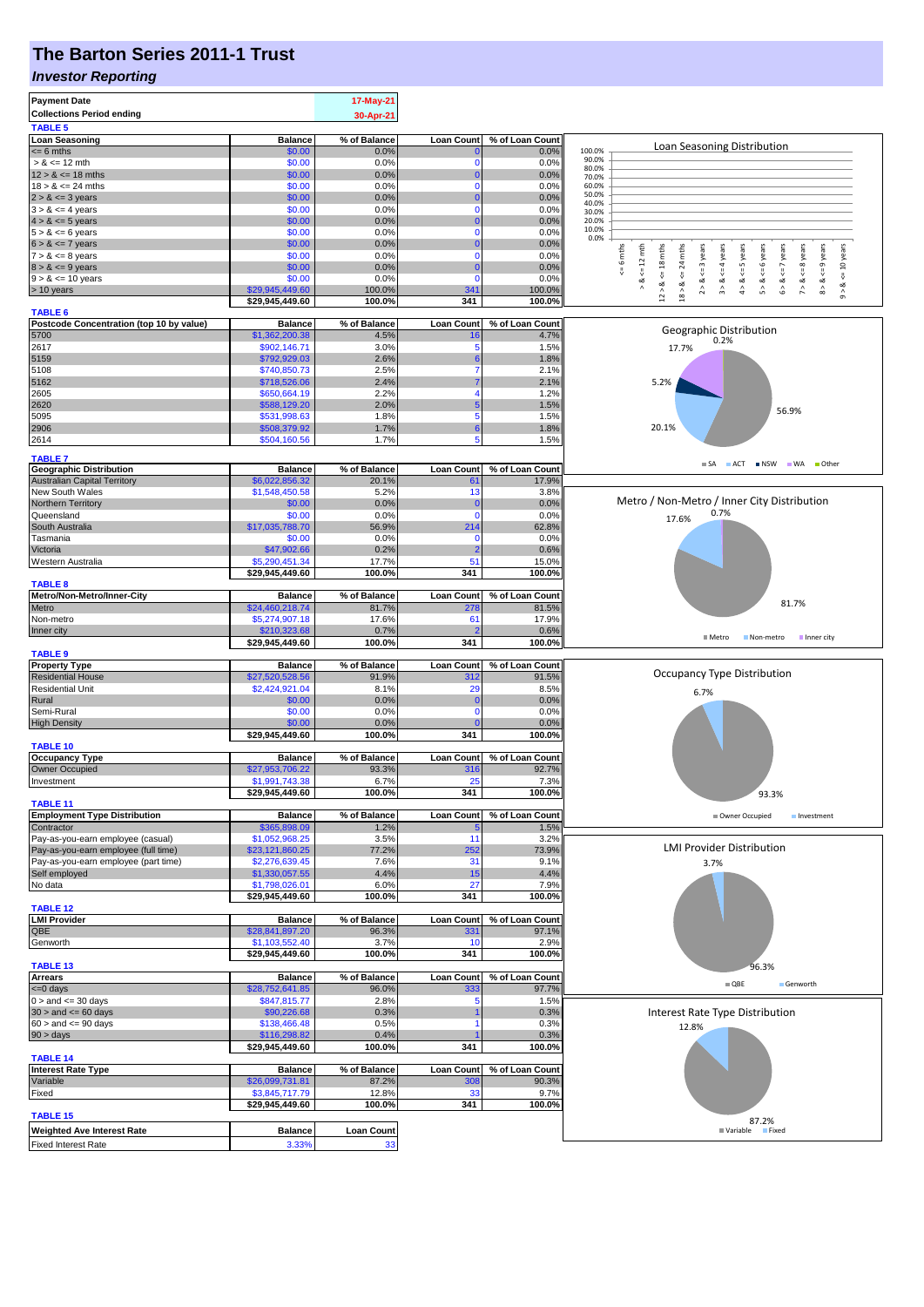### **The Barton Series 2011-1 Trust**

#### *Investor Reporting*

| <b>Payment Date</b>                                                       |                                    | 17-May-21             |                          |                          |                                                                                                                                                                                                                                |
|---------------------------------------------------------------------------|------------------------------------|-----------------------|--------------------------|--------------------------|--------------------------------------------------------------------------------------------------------------------------------------------------------------------------------------------------------------------------------|
| <b>Collections Period ending</b>                                          |                                    | 30-Apr-21             |                          |                          |                                                                                                                                                                                                                                |
| <b>TABLE 5</b>                                                            |                                    |                       |                          |                          |                                                                                                                                                                                                                                |
| <b>Loan Seasoning</b><br>$= 6$ mths                                       | <b>Balance</b><br>\$0.00           | % of Balance<br>0.0%  | <b>Loan Count</b>        | % of Loan Count<br>0.0%  | Loan Seasoning Distribution<br>100.0%                                                                                                                                                                                          |
| $> 8 \le 12$ mth                                                          | \$0.00                             | 0.0%                  | $\Omega$                 | 0.0%                     | 90.0%<br>80.0%                                                                                                                                                                                                                 |
| $12 > 8 \le 18$ mths                                                      | \$0.00                             | 0.0%                  | $\Omega$                 | 0.0%                     | 70.0%                                                                                                                                                                                                                          |
| $18 > 8 \le 24$ mths                                                      | \$0.00                             | 0.0%                  | $\mathbf{0}$             | 0.0%                     | 60.0%<br>50.0%                                                                                                                                                                                                                 |
| $2 > 8 \le 3$ years<br>$3 > 8 \le 4$ years                                | \$0.00<br>\$0.00                   | 0.0%<br>0.0%          | $\Omega$<br>$\Omega$     | 0.0%<br>0.0%             | 40.0%                                                                                                                                                                                                                          |
| $4 > 8 \le 5$ years                                                       | \$0.00                             | 0.0%                  | $\Omega$                 | 0.0%                     | 30.0%<br>20.0%                                                                                                                                                                                                                 |
| $5 > 8 \le 6$ years                                                       | \$0.00                             | 0.0%                  | $\mathbf 0$              | 0.0%                     | 10.0%                                                                                                                                                                                                                          |
| $6 > 8 \le 7$ years                                                       | \$0.00                             | 0.0%                  | $\Omega$                 | 0.0%                     | 0.0%                                                                                                                                                                                                                           |
| $7 > 8 \le 8$ years                                                       | \$0.00                             | 0.0%                  | $\Omega$                 | 0.0%                     | $x = 6$ mths<br>$\leq 12$ mth<br>$12 > 8 \le 18$ mths<br>$8 > 8 < = 9$ years<br>24 mths<br>$2 > 8 < = 3$ years<br>$4 > 8 < = 5$ years<br>6 years<br>$6 > 8 < z < 7$ years<br>$<=8$ years<br>$9 > 8 < 10$ years<br>$<= 4$ years |
| $8 > 8 \le 9$ years                                                       | \$0.00                             | 0.0%                  | $\bf{0}$                 | 0.0%                     | $\&<$ $=$<br>$\overset{  }{\mathsf{v}}$                                                                                                                                                                                        |
| $9 > 8 \le 10$ years                                                      | \$0.00                             | 0.0%                  | $\Omega$<br>341          | 0.0%                     | ∞<br>$\hat{r}$<br>$\hat{\mathsf{b}}$<br>$\hat{z}$                                                                                                                                                                              |
| > 10 years                                                                | \$29,945,449.60<br>\$29,945,449.60 | 100.0%<br>100.0%      | 341                      | 100.0%<br>100.0%         | 18 > 8.                                                                                                                                                                                                                        |
| <b>TABLE 6</b>                                                            |                                    |                       |                          |                          |                                                                                                                                                                                                                                |
| Postcode Concentration (top 10 by value)                                  | <b>Balance</b>                     | % of Balance          | <b>Loan Count</b>        | % of Loan Count          | Geographic Distribution                                                                                                                                                                                                        |
| 5700                                                                      | \$1,362,200.38                     | 4.5%                  | 16                       | 4.7%                     | 0.2%                                                                                                                                                                                                                           |
| 2617                                                                      | \$902,146.71                       | 3.0%                  | 5                        | 1.5%                     | 17.7%                                                                                                                                                                                                                          |
| 5159<br>5108                                                              | \$792,929.03<br>\$740,850.73       | 2.6%<br>2.5%          | 6<br>7                   | 1.8%<br>2.1%             |                                                                                                                                                                                                                                |
| 5162                                                                      | \$718,526.06                       | 2.4%                  |                          | 2.1%                     | 5.2%                                                                                                                                                                                                                           |
| 2605                                                                      | \$650,664.19                       | 2.2%                  |                          | 1.2%                     |                                                                                                                                                                                                                                |
| 2620                                                                      | \$588,129.20                       | 2.0%                  | 5                        | 1.5%                     | 56.9%                                                                                                                                                                                                                          |
| 5095                                                                      | \$531,998.63                       | 1.8%                  | 5                        | 1.5%                     |                                                                                                                                                                                                                                |
| 2906                                                                      | \$508,379.92                       | 1.7%                  | 6                        | 1.8%                     | 20.1%                                                                                                                                                                                                                          |
| 2614                                                                      | \$504,160.56                       | 1.7%                  | 5                        | 1.5%                     |                                                                                                                                                                                                                                |
| <b>TABLE 7</b>                                                            |                                    |                       |                          |                          | $\blacksquare$ SA<br>ACT NSW WA Other                                                                                                                                                                                          |
| <b>Geographic Distribution</b>                                            | <b>Balance</b>                     | % of Balance          | <b>Loan Count</b>        | % of Loan Count          |                                                                                                                                                                                                                                |
| <b>Australian Capital Territory</b>                                       | \$6,022,856.32                     | 20.1%                 | 61                       | 17.9%                    |                                                                                                                                                                                                                                |
| New South Wales                                                           | \$1,548,450.58                     | 5.2%                  | 13                       | 3.8%                     | Metro / Non-Metro / Inner City Distribution                                                                                                                                                                                    |
| <b>Northern Territory</b><br>Queensland                                   | \$0.00<br>\$0.00                   | 0.0%<br>0.0%          | $\mathbf 0$<br>$\Omega$  | 0.0%<br>0.0%             | 0.7%                                                                                                                                                                                                                           |
| South Australia                                                           | \$17,035,788.70                    | 56.9%                 | 214                      | 62.8%                    | 17.6%                                                                                                                                                                                                                          |
| Tasmania                                                                  | \$0.00                             | 0.0%                  | $\Omega$                 | 0.0%                     |                                                                                                                                                                                                                                |
| Victoria                                                                  | \$47,902.66                        | 0.2%                  | 2                        | 0.6%                     |                                                                                                                                                                                                                                |
| Western Australia                                                         | \$5,290,451.34                     | 17.7%                 | 51                       | 15.0%                    |                                                                                                                                                                                                                                |
|                                                                           | \$29,945,449.60                    | 100.0%                | 341                      | 100.0%                   |                                                                                                                                                                                                                                |
| <b>TABLE 8</b><br>Metro/Non-Metro/Inner-City                              |                                    |                       |                          | % of Loan Count          |                                                                                                                                                                                                                                |
| Metro                                                                     | <b>Balance</b><br>\$24,460,218.74  | % of Balance<br>81.7% | <b>Loan Count</b><br>278 | 81.5%                    | 81.7%                                                                                                                                                                                                                          |
| Non-metro                                                                 | \$5,274,907.18                     | 17.6%                 | 61                       | 17.9%                    |                                                                                                                                                                                                                                |
| Inner city                                                                | \$210,323.68                       | 0.7%                  |                          | 0.6%                     |                                                                                                                                                                                                                                |
|                                                                           | \$29,945,449.60                    | 100.0%                | 341                      | 100.0%                   | $M$ Metro<br>Non-metro<br>Inner city                                                                                                                                                                                           |
| <b>TABLE 9</b>                                                            |                                    |                       |                          |                          |                                                                                                                                                                                                                                |
| <b>Property Type</b>                                                      | <b>Balance</b>                     | % of Balance          | <b>Loan Count</b>        | % of Loan Count          | Occupancy Type Distribution                                                                                                                                                                                                    |
| <b>Residential House</b><br><b>Residential Unit</b>                       | \$27,520,528.56<br>\$2,424,921.04  | 91.9%<br>8.1%         | 312<br>29                | 91.5%<br>8.5%            |                                                                                                                                                                                                                                |
| Rural                                                                     | \$0.00                             | 0.0%                  | $\mathbf 0$              | 0.0%                     | 6.7%                                                                                                                                                                                                                           |
| Semi-Rural                                                                | \$0.00                             | 0.0%                  | 0                        | 0.0%                     |                                                                                                                                                                                                                                |
| <b>High Density</b>                                                       | \$0.00                             | 0.0%                  | $\Omega$                 | 0.0%                     |                                                                                                                                                                                                                                |
|                                                                           | \$29,945,449.60                    | 100.0%                | 341                      | 100.0%                   |                                                                                                                                                                                                                                |
| <b>TABLE 10</b>                                                           |                                    |                       |                          |                          |                                                                                                                                                                                                                                |
| <b>Occupancy Type</b><br>Owner Occupied                                   | <b>Balance</b><br>\$27,953,706.22  | % of Balance<br>93.3% | Loan Count<br>316        | % of Loan Count<br>92.7% |                                                                                                                                                                                                                                |
| Investment                                                                | \$1,991,743.38                     | 6.7%                  | 25                       | 7.3%                     |                                                                                                                                                                                                                                |
|                                                                           | \$29,945,449.60                    | 100.0%                | 341                      | 100.0%                   | 93.3%                                                                                                                                                                                                                          |
| <b>TABLE 11</b>                                                           |                                    |                       |                          |                          |                                                                                                                                                                                                                                |
| <b>Employment Type Distribution</b>                                       | <b>Balance</b>                     | % of Balance          | <b>Loan Count</b>        | % of Loan Count          | Owner Occupied<br>Investment                                                                                                                                                                                                   |
| Contractor                                                                | \$365,898.09<br>\$1,052,968.25     | 1.2%                  |                          | 1.5%                     |                                                                                                                                                                                                                                |
| Pay-as-you-earn employee (casual)<br>Pay-as-you-earn employee (full time) | \$23,121,860.25                    | 3.5%<br>77.2%         | 11<br>252                | 3.2%<br>73.9%            | <b>LMI Provider Distribution</b>                                                                                                                                                                                               |
| Pay-as-you-earn employee (part time)                                      | \$2,276,639.45                     | 7.6%                  | 31                       | 9.1%                     | 3.7%                                                                                                                                                                                                                           |
| Self employed                                                             | \$1,330,057.55                     | 4.4%                  | 15                       | 4.4%                     |                                                                                                                                                                                                                                |
| No data                                                                   | \$1,798,026.01                     | 6.0%                  | 27                       | 7.9%                     |                                                                                                                                                                                                                                |
|                                                                           | \$29,945,449.60                    | 100.0%                | 341                      | 100.0%                   |                                                                                                                                                                                                                                |
| <b>TABLE 12</b>                                                           |                                    |                       |                          |                          |                                                                                                                                                                                                                                |
| <b>LMI Provider</b><br>QBE                                                | <b>Balance</b><br>\$28,841,897.20  | % of Balance<br>96.3% | <b>Loan Count</b><br>331 | % of Loan Count<br>97.1% |                                                                                                                                                                                                                                |
| Genworth                                                                  | \$1,103,552.40                     | 3.7%                  | 10                       | 2.9%                     |                                                                                                                                                                                                                                |
|                                                                           | \$29,945,449.60                    | 100.0%                | 341                      | 100.0%                   |                                                                                                                                                                                                                                |
| <b>TABLE 13</b>                                                           |                                    |                       |                          |                          | 96.3%                                                                                                                                                                                                                          |
| <b>Arrears</b>                                                            | <b>Balance</b>                     | % of Balance          | <b>Loan Count</b>        | % of Loan Count          | $\blacksquare$ QBE<br>Genworth                                                                                                                                                                                                 |
| $\leq 0$ days                                                             | \$28,752,641.85                    | 96.0%                 | 333                      | 97.7%                    |                                                                                                                                                                                                                                |
| $0 >$ and $\leq$ 30 days                                                  | \$847,815.77                       | 2.8%                  | 5                        | 1.5%                     |                                                                                                                                                                                                                                |
| $30 >$ and $\leq 60$ days<br>$60 >$ and $\leq 90$ days                    | \$90,226.68<br>\$138,466.48        | 0.3%<br>0.5%          |                          | 0.3%<br>0.3%             | Interest Rate Type Distribution                                                                                                                                                                                                |
| $90 > \text{days}$                                                        | \$116,298.82                       | 0.4%                  |                          | 0.3%                     | 12.8%                                                                                                                                                                                                                          |
|                                                                           | \$29,945,449.60                    | 100.0%                | 341                      | 100.0%                   |                                                                                                                                                                                                                                |
| <b>TABLE 14</b>                                                           |                                    |                       |                          |                          |                                                                                                                                                                                                                                |
| <b>Interest Rate Type</b>                                                 | <b>Balance</b>                     | % of Balance          | <b>Loan Count</b>        | % of Loan Count          |                                                                                                                                                                                                                                |
| Variable                                                                  | \$26,099,731.81                    | 87.2%                 | 308                      | 90.3%                    |                                                                                                                                                                                                                                |
| Fixed                                                                     | \$3,845,717.79<br>\$29,945,449.60  | 12.8%<br>100.0%       | 33<br>341                | 9.7%<br>100.0%           |                                                                                                                                                                                                                                |
| TABLE 15                                                                  |                                    |                       |                          |                          |                                                                                                                                                                                                                                |
| <b>Weighted Ave Interest Rate</b>                                         | <b>Balance</b>                     | <b>Loan Count</b>     |                          |                          | 87.2%<br><b>Fixed</b><br>■ Variable                                                                                                                                                                                            |
| <b>Fixed Interest Rate</b>                                                | 3.33%                              | 33                    |                          |                          |                                                                                                                                                                                                                                |